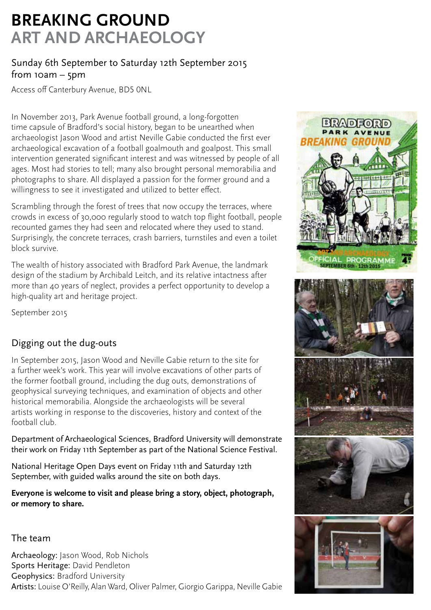# **BREAKING GROUND ART AND ARCHAEOLOGY**

### Sunday 6th September to Saturday 12th September 2015 from  $10am - 5pm$

Access off Canterbury Avenue, BD5 0NL

In November 2013, Park Avenue football ground, a long-forgotten time capsule of Bradford's social history, began to be unearthed when archaeologist Jason Wood and artist Neville Gabie conducted the first ever archaeological excavation of a football goalmouth and goalpost. This small intervention generated significant interest and was witnessed by people of all ages. Most had stories to tell; many also brought personal memorabilia and photographs to share. All displayed a passion for the former ground and a willingness to see it investigated and utilized to better effect.

Scrambling through the forest of trees that now occupy the terraces, where crowds in excess of 30,000 regularly stood to watch top flight football, people recounted games they had seen and relocated where they used to stand. Surprisingly, the concrete terraces, crash barriers, turnstiles and even a toilet block survive.

The wealth of history associated with Bradford Park Avenue, the landmark design of the stadium by Archibald Leitch, and its relative intactness after more than 40 years of neglect, provides a perfect opportunity to develop a high-quality art and heritage project.

September 2015

### Digging out the dug-outs

In September 2015, Jason Wood and Neville Gabie return to the site for a further week's work. This year will involve excavations of other parts of the former football ground, including the dug outs, demonstrations of geophysical surveying techniques, and examination of objects and other historical memorabilia. Alongside the archaeologists will be several artists working in response to the discoveries, history and context of the football club.

Department of Archaeological Sciences, Bradford University will demonstrate their work on Friday 11th September as part of the National Science Festival.

National Heritage Open Days event on Friday 11th and Saturday 12th September, with guided walks around the site on both days.

**Everyone is welcome to visit and please bring a story, object, photograph, or memory to share.** 

#### The team

Archaeology: Jason Wood, Rob Nichols Sports Heritage: David Pendleton Geophysics: Bradford University Artists: Louise O'Reilly, Alan Ward, Oliver Palmer, Giorgio Garippa, Neville Gabie